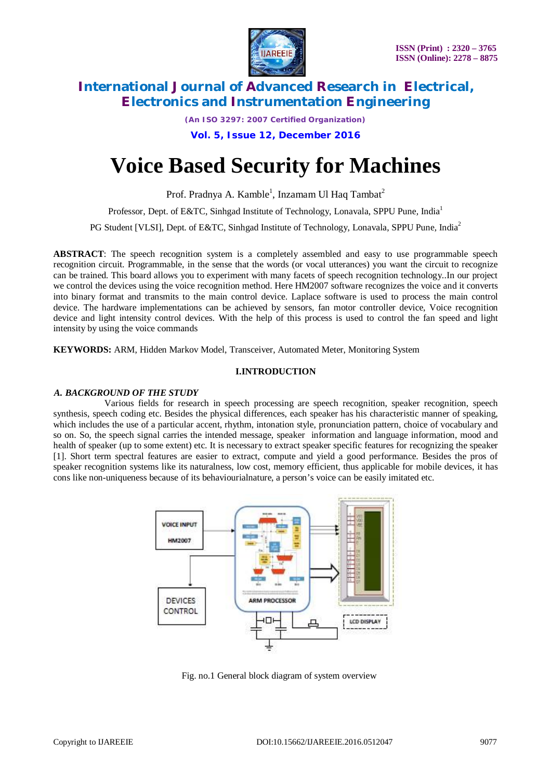

*(An ISO 3297: 2007 Certified Organization)*

**Vol. 5, Issue 12, December 2016**

# **Voice Based Security for Machines**

Prof. Pradnya A. Kamble<sup>1</sup>, Inzamam Ul Haq Tambat<sup>2</sup>

Professor, Dept. of E&TC, Sinhgad Institute of Technology, Lonavala, SPPU Pune*,* India<sup>1</sup>

PG Student [VLSI], Dept. of E&TC, Sinhgad Institute of Technology, Lonavala, SPPU Pune*,* India<sup>2</sup>

**ABSTRACT**: The speech recognition system is a completely assembled and easy to use programmable speech recognition circuit. Programmable, in the sense that the words (or vocal utterances) you want the circuit to recognize can be trained. This board allows you to experiment with many facets of speech recognition technology..In our project we control the devices using the voice recognition method. Here HM2007 software recognizes the voice and it converts into binary format and transmits to the main control device. Laplace software is used to process the main control device. The hardware implementations can be achieved by sensors, fan motor controller device, Voice recognition device and light intensity control devices. With the help of this process is used to control the fan speed and light intensity by using the voice commands

**KEYWORDS:** ARM, Hidden Markov Model, Transceiver, Automated Meter, Monitoring System

# **I.INTRODUCTION**

## *A. BACKGROUND OF THE STUDY*

 Various fields for research in speech processing are speech recognition, speaker recognition, speech synthesis, speech coding etc. Besides the physical differences, each speaker has his characteristic manner of speaking, which includes the use of a particular accent, rhythm, intonation style, pronunciation pattern, choice of vocabulary and so on. So, the speech signal carries the intended message, speaker information and language information, mood and health of speaker (up to some extent) etc. It is necessary to extract speaker specific features for recognizing the speaker [1]. Short term spectral features are easier to extract, compute and yield a good performance. Besides the pros of speaker recognition systems like its naturalness, low cost, memory efficient, thus applicable for mobile devices, it has cons like non-uniqueness because of its behaviourialnature, a person's voice can be easily imitated etc.



Fig. no.1 General block diagram of system overview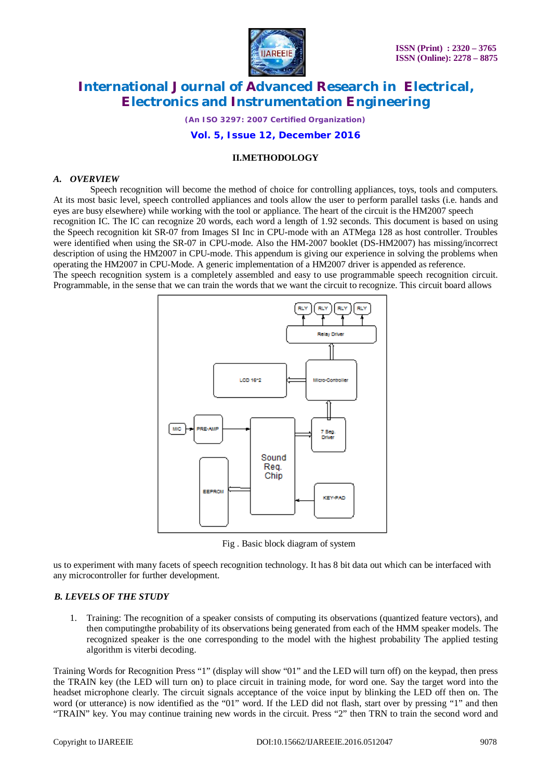

*(An ISO 3297: 2007 Certified Organization)*

## **Vol. 5, Issue 12, December 2016**

# **II.METHODOLOGY**

## *A. OVERVIEW*

 Speech recognition will become the method of choice for controlling appliances, toys, tools and computers. At its most basic level, speech controlled appliances and tools allow the user to perform parallel tasks (i.e. hands and eyes are busy elsewhere) while working with the tool or appliance. The heart of the circuit is the HM2007 speech recognition IC. The IC can recognize 20 words, each word a length of 1.92 seconds. This document is based on using the Speech recognition kit SR-07 from Images SI Inc in CPU-mode with an ATMega 128 as host controller. Troubles were identified when using the SR-07 in CPU-mode. Also the HM-2007 booklet (DS-HM2007) has missing/incorrect description of using the HM2007 in CPU-mode. This appendum is giving our experience in solving the problems when operating the HM2007 in CPU-Mode. A generic implementation of a HM2007 driver is appended as reference. The speech recognition system is a completely assembled and easy to use programmable speech recognition circuit. Programmable, in the sense that we can train the words that we want the circuit to recognize. This circuit board allows



Fig . Basic block diagram of system

us to experiment with many facets of speech recognition technology. It has 8 bit data out which can be interfaced with any microcontroller for further development.

## *B. LEVELS OF THE STUDY*

1. Training: The recognition of a speaker consists of computing its observations (quantized feature vectors), and then computingthe probability of its observations being generated from each of the HMM speaker models. The recognized speaker is the one corresponding to the model with the highest probability The applied testing algorithm is viterbi decoding.

Training Words for Recognition Press "1" (display will show "01" and the LED will turn off) on the keypad, then press the TRAIN key (the LED will turn on) to place circuit in training mode, for word one. Say the target word into the headset microphone clearly. The circuit signals acceptance of the voice input by blinking the LED off then on. The word (or utterance) is now identified as the "01" word. If the LED did not flash, start over by pressing "1" and then "TRAIN" key. You may continue training new words in the circuit. Press "2" then TRN to train the second word and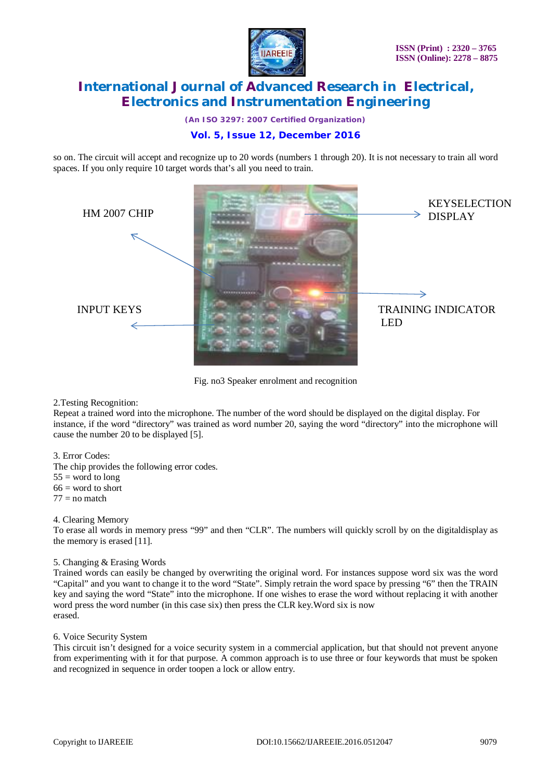

*(An ISO 3297: 2007 Certified Organization)*

# **Vol. 5, Issue 12, December 2016**

so on. The circuit will accept and recognize up to 20 words (numbers 1 through 20). It is not necessary to train all word spaces. If you only require 10 target words that's all you need to train.



Fig. no3 Speaker enrolment and recognition

## 2.Testing Recognition:

Repeat a trained word into the microphone. The number of the word should be displayed on the digital display. For instance, if the word "directory" was trained as word number 20, saying the word "directory" into the microphone will cause the number 20 to be displayed [5].

# 3. Error Codes:

The chip provides the following error codes.

 $55 =$  word to long

 $66$  = word to short

 $77$  = no match

## 4. Clearing Memory

To erase all words in memory press "99" and then "CLR". The numbers will quickly scroll by on the digitaldisplay as the memory is erased [11].

## 5. Changing & Erasing Words

Trained words can easily be changed by overwriting the original word. For instances suppose word six was the word "Capital" and you want to change it to the word "State". Simply retrain the word space by pressing "6" then the TRAIN key and saying the word "State" into the microphone. If one wishes to erase the word without replacing it with another word press the word number (in this case six) then press the CLR key.Word six is now erased.

## 6. Voice Security System

This circuit isn't designed for a voice security system in a commercial application, but that should not prevent anyone from experimenting with it for that purpose. A common approach is to use three or four keywords that must be spoken and recognized in sequence in order toopen a lock or allow entry.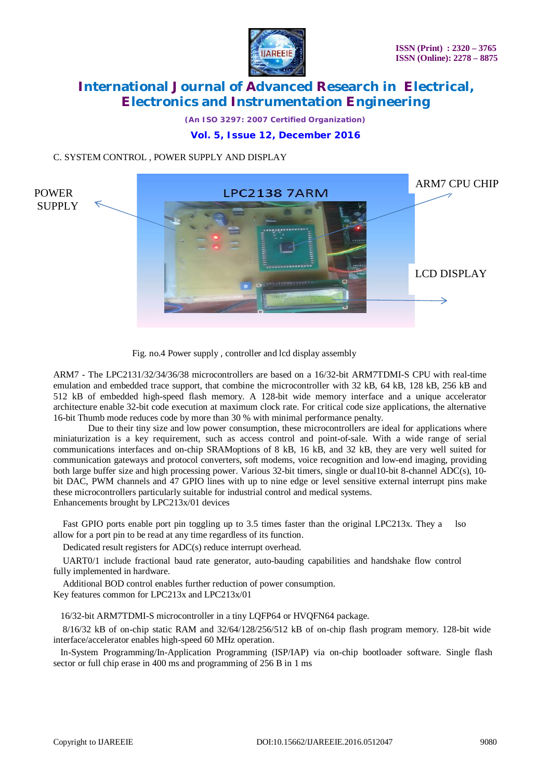

*(An ISO 3297: 2007 Certified Organization)*

# **Vol. 5, Issue 12, December 2016**

# C. SYSTEM CONTROL , POWER SUPPLY AND DISPLAY



Fig. no.4 Power supply , controller and lcd display assembly

ARM7 - The LPC2131/32/34/36/38 microcontrollers are based on a 16/32-bit ARM7TDMI-S CPU with real-time emulation and embedded trace support, that combine the microcontroller with 32 kB, 64 kB, 128 kB, 256 kB and 512 kB of embedded high-speed flash memory. A 128-bit wide memory interface and a unique accelerator architecture enable 32-bit code execution at maximum clock rate. For critical code size applications, the alternative 16-bit Thumb mode reduces code by more than 30 % with minimal performance penalty.

 Due to their tiny size and low power consumption, these microcontrollers are ideal for applications where miniaturization is a key requirement, such as access control and point-of-sale. With a wide range of serial communications interfaces and on-chip SRAMoptions of 8 kB, 16 kB, and 32 kB, they are very well suited for communication gateways and protocol converters, soft modems, voice recognition and low-end imaging, providing both large buffer size and high processing power. Various 32-bit timers, single or dual10-bit 8-channel ADC(s), 10 bit DAC, PWM channels and 47 GPIO lines with up to nine edge or level sensitive external interrupt pins make these microcontrollers particularly suitable for industrial control and medical systems. Enhancements brought by LPC213x/01 devices

Fast GPIO ports enable port pin toggling up to 3.5 times faster than the original LPC213x. They a lso allow for a port pin to be read at any time regardless of its function.

Dedicated result registers for ADC(s) reduce interrupt overhead.

 UART0/1 include fractional baud rate generator, auto-bauding capabilities and handshake flow control fully implemented in hardware.

 Additional BOD control enables further reduction of power consumption. Key features common for LPC213x and LPC213x/01

16/32-bit ARM7TDMI-S microcontroller in a tiny LQFP64 or HVQFN64 package.

 8/16/32 kB of on-chip static RAM and 32/64/128/256/512 kB of on-chip flash program memory. 128-bit wide interface/accelerator enables high-speed 60 MHz operation.

 In-System Programming/In-Application Programming (ISP/IAP) via on-chip bootloader software. Single flash sector or full chip erase in 400 ms and programming of 256 B in 1 ms